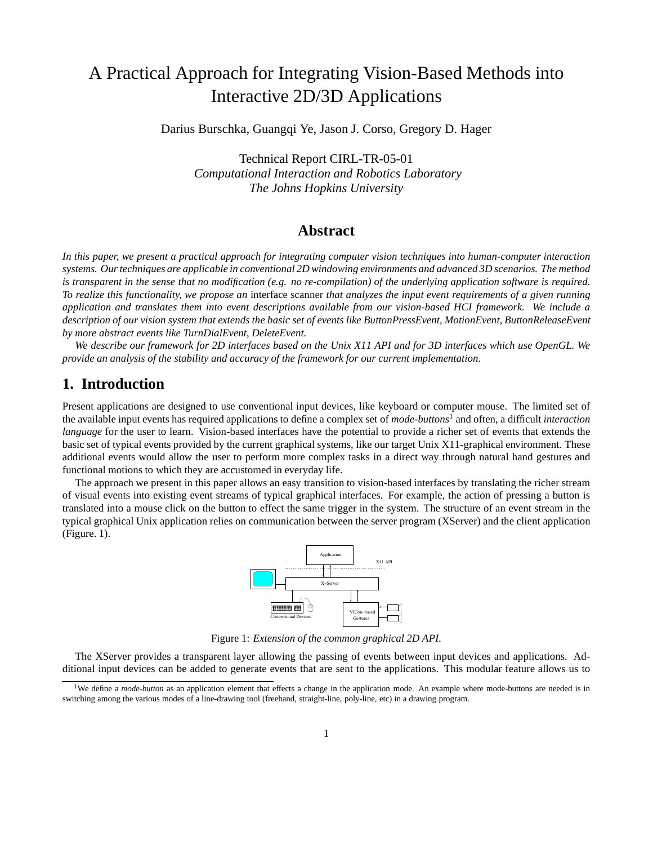# A Practical Approach for Integrating Vision-Based Methods into Interactive 2D/3D Applications

Darius Burschka, Guangqi Ye, Jason J. Corso, Gregory D. Hager

Technical Report CIRL-TR-05-01 *Computational Interaction and Robotics Laboratory The Johns Hopkins University*

## **Abstract**

*In this paper, we present a practical approach for integrating computer vision techniques into human-computer interaction systems. Our techniques are applicable in conventional 2D windowing environments and advanced 3D scenarios. The method is transparent in the sense that no modification (e.g. no re-compilation) of the underlying application software is required. To realize this functionality, we propose an* interface scanner *that analyzes the input event requirements of a given running application and translates them into event descriptions available from our vision-based HCI framework. We include a description of our vision system that extends the basic set of events like ButtonPressEvent, MotionEvent, ButtonReleaseEvent by more abstract events like TurnDialEvent, DeleteEvent.*

*We describe our framework for 2D interfaces based on the Unix X11 API and for 3D interfaces which use OpenGL. We provide an analysis of the stability and accuracy of the framework for our current implementation.*

## **1. Introduction**

Present applications are designed to use conventional input devices, like keyboard or computer mouse. The limited set of the available input events has required applications to define a complex set of *mode-buttons*<sup>1</sup> and often, a difficult *interaction language* for the user to learn. Vision-based interfaces have the potential to provide a richer set of events that extends the basic set of typical events provided by the current graphical systems, like our target Unix X11-graphical environment. These additional events would allow the user to perform more complex tasks in a direct way through natural hand gestures and functional motions to which they are accustomed in everyday life.

The approach we present in this paper allows an easy transition to vision-based interfaces by translating the richer stream of visual events into existing event streams of typical graphical interfaces. For example, the action of pressing a button is translated into a mouse click on the button to effect the same trigger in the system. The structure of an event stream in the typical graphical Unix application relies on communication between the server program (XServer) and the client application (Figure. 1).



Figure 1: *Extension of the common graphical 2D API.*

The XServer provides a transparent layer allowing the passing of events between input devices and applications. Additional input devices can be added to generate events that are sent to the applications. This modular feature allows us to

<sup>&</sup>lt;sup>1</sup>We define a *mode-button* as an application element that effects a change in the application mode. An example where mode-buttons are needed is in switching among the various modes of a line-drawing tool (freehand, straight-line, poly-line, etc) in a drawing program.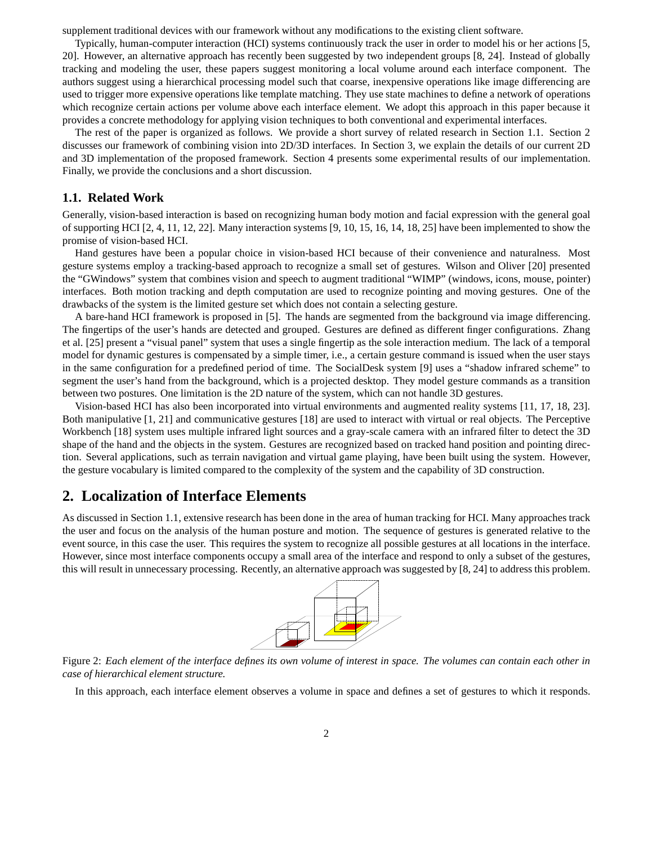supplement traditional devices with our framework without any modifications to the existing client software.

Typically, human-computer interaction (HCI) systems continuously track the user in order to model his or her actions [5, 20]. However, an alternative approach has recently been suggested by two independent groups [8, 24]. Instead of globally tracking and modeling the user, these papers suggest monitoring a local volume around each interface component. The authors suggest using a hierarchical processing model such that coarse, inexpensive operations like image differencing are used to trigger more expensive operations like template matching. They use state machines to define a network of operations which recognize certain actions per volume above each interface element. We adopt this approach in this paper because it provides a concrete methodology for applying vision techniques to both conventional and experimental interfaces.

The rest of the paper is organized as follows. We provide a short survey of related research in Section 1.1. Section 2 discusses our framework of combining vision into 2D/3D interfaces. In Section 3, we explain the details of our current 2D and 3D implementation of the proposed framework. Section 4 presents some experimental results of our implementation. Finally, we provide the conclusions and a short discussion.

#### **1.1. Related Work**

Generally, vision-based interaction is based on recognizing human body motion and facial expression with the general goal of supporting HCI [2, 4, 11, 12, 22]. Many interaction systems [9, 10, 15, 16, 14, 18, 25] have been implemented to show the promise of vision-based HCI.

Hand gestures have been a popular choice in vision-based HCI because of their convenience and naturalness. Most gesture systems employ a tracking-based approach to recognize a small set of gestures. Wilson and Oliver [20] presented the "GWindows" system that combines vision and speech to augment traditional "WIMP" (windows, icons, mouse, pointer) interfaces. Both motion tracking and depth computation are used to recognize pointing and moving gestures. One of the drawbacks of the system is the limited gesture set which does not contain a selecting gesture.

A bare-hand HCI framework is proposed in [5]. The hands are segmented from the background via image differencing. The fingertips of the user's hands are detected and grouped. Gestures are defined as different finger configurations. Zhang et al. [25] present a "visual panel" system that uses a single fingertip as the sole interaction medium. The lack of a temporal model for dynamic gestures is compensated by a simple timer, i.e., a certain gesture command is issued when the user stays in the same configuration for a predefined period of time. The SocialDesk system [9] uses a "shadow infrared scheme" to segment the user's hand from the background, which is a projected desktop. They model gesture commands as a transition between two postures. One limitation is the 2D nature of the system, which can not handle 3D gestures.

Vision-based HCI has also been incorporated into virtual environments and augmented reality systems [11, 17, 18, 23]. Both manipulative [1, 21] and communicative gestures [18] are used to interact with virtual or real objects. The Perceptive Workbench [18] system uses multiple infrared light sources and a gray-scale camera with an infrared filter to detect the 3D shape of the hand and the objects in the system. Gestures are recognized based on tracked hand position and pointing direction. Several applications, such as terrain navigation and virtual game playing, have been built using the system. However, the gesture vocabulary is limited compared to the complexity of the system and the capability of 3D construction.

#### **2. Localization of Interface Elements**

As discussed in Section 1.1, extensive research has been done in the area of human tracking for HCI. Many approaches track the user and focus on the analysis of the human posture and motion. The sequence of gestures is generated relative to the event source, in this case the user. This requires the system to recognize all possible gestures at all locations in the interface. However, since most interface components occupy a small area of the interface and respond to only a subset of the gestures, this will result in unnecessary processing. Recently, an alternative approach was suggested by [8, 24] to address this problem.



Figure 2: *Each element of the interface defines its own volume of interest in space. The volumes can contain each other in case of hierarchical element structure.*

In this approach, each interface element observes a volume in space and defines a set of gestures to which it responds.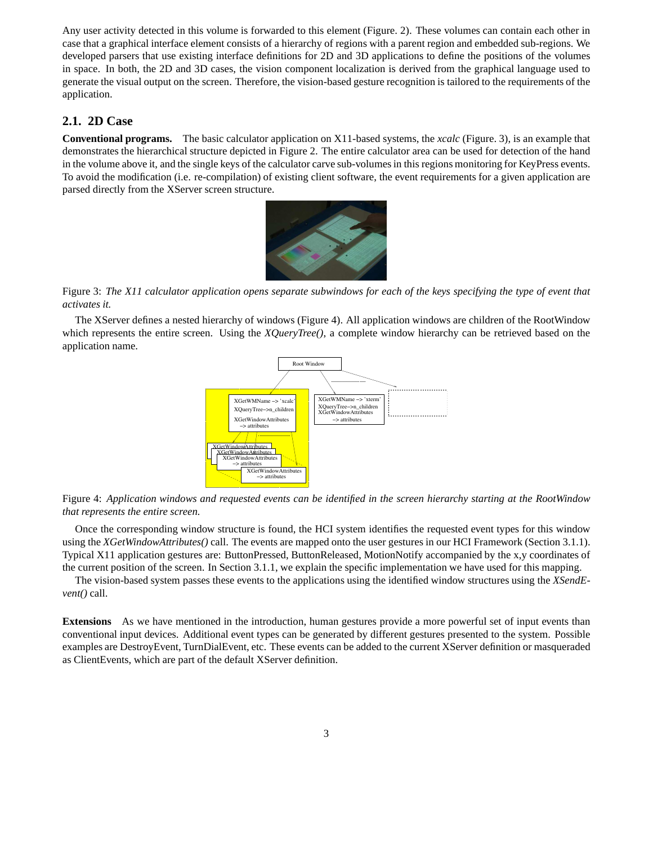Any user activity detected in this volume is forwarded to this element (Figure. 2). These volumes can contain each other in case that a graphical interface element consists of a hierarchy of regions with a parent region and embedded sub-regions. We developed parsers that use existing interface definitions for 2D and 3D applications to define the positions of the volumes in space. In both, the 2D and 3D cases, the vision component localization is derived from the graphical language used to generate the visual output on the screen. Therefore, the vision-based gesture recognition is tailored to the requirements of the application.

#### **2.1. 2D Case**

**Conventional programs.** The basic calculator application on X11-based systems, the *xcalc* (Figure. 3), is an example that demonstrates the hierarchical structure depicted in Figure 2. The entire calculator area can be used for detection of the hand in the volume above it, and the single keys of the calculator carve sub-volumes in this regions monitoring for KeyPress events. To avoid the modification (i.e. re-compilation) of existing client software, the event requirements for a given application are parsed directly from the XServer screen structure.



Figure 3: *The X11 calculator application opens separate subwindows for each of the keys specifying the type of event that activates it.*

The XServer defines a nested hierarchy of windows (Figure 4). All application windows are children of the RootWindow which represents the entire screen. Using the *XQueryTree()*, a complete window hierarchy can be retrieved based on the application name.



Figure 4: *Application windows and requested events can be identified in the screen hierarchy starting at the RootWindow that represents the entire screen.*

Once the corresponding window structure is found, the HCI system identifies the requested event types for this window using the *XGetWindowAttributes()* call. The events are mapped onto the user gestures in our HCI Framework (Section 3.1.1). Typical X11 application gestures are: ButtonPressed, ButtonReleased, MotionNotify accompanied by the x,y coordinates of the current position of the screen. In Section 3.1.1, we explain the specific implementation we have used for this mapping.

The vision-based system passes these events to the applications using the identified window structures using the *XSendEvent()* call.

**Extensions** As we have mentioned in the introduction, human gestures provide a more powerful set of input events than conventional input devices. Additional event types can be generated by different gestures presented to the system. Possible examples are DestroyEvent, TurnDialEvent, etc. These events can be added to the current XServer definition or masqueraded as ClientEvents, which are part of the default XServer definition.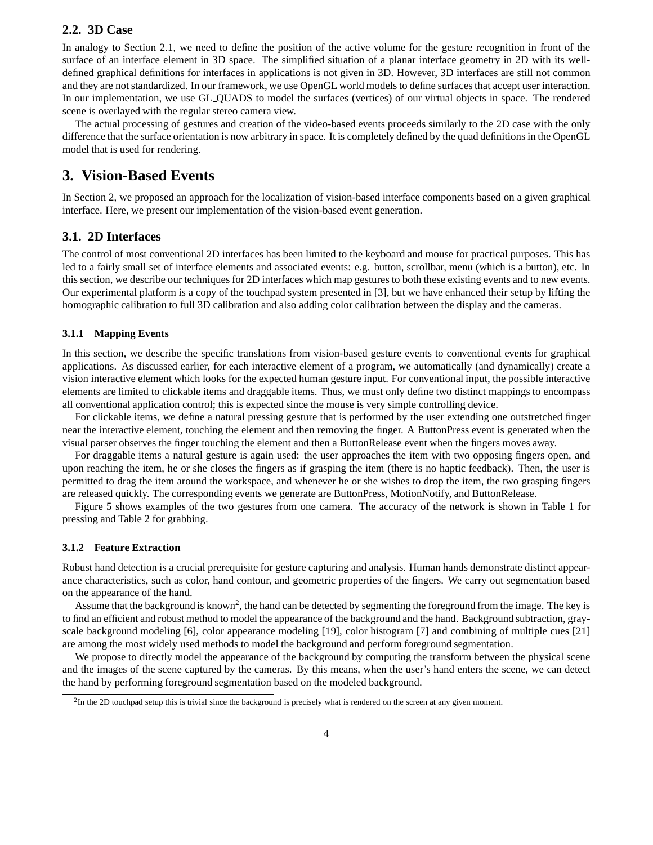#### **2.2. 3D Case**

In analogy to Section 2.1, we need to define the position of the active volume for the gesture recognition in front of the surface of an interface element in 3D space. The simplified situation of a planar interface geometry in 2D with its welldefined graphical definitions for interfaces in applications is not given in 3D. However, 3D interfaces are still not common and they are not standardized. In our framework, we use OpenGL world models to define surfaces that accept user interaction. In our implementation, we use GL QUADS to model the surfaces (vertices) of our virtual objects in space. The rendered scene is overlayed with the regular stereo camera view.

The actual processing of gestures and creation of the video-based events proceeds similarly to the 2D case with the only difference that the surface orientation is now arbitrary in space. It is completely defined by the quad definitions in the OpenGL model that is used for rendering.

## **3. Vision-Based Events**

In Section 2, we proposed an approach for the localization of vision-based interface components based on a given graphical interface. Here, we present our implementation of the vision-based event generation.

#### **3.1. 2D Interfaces**

The control of most conventional 2D interfaces has been limited to the keyboard and mouse for practical purposes. This has led to a fairly small set of interface elements and associated events: e.g. button, scrollbar, menu (which is a button), etc. In this section, we describe our techniques for 2D interfaces which map gestures to both these existing events and to new events. Our experimental platform is a copy of the touchpad system presented in [3], but we have enhanced their setup by lifting the homographic calibration to full 3D calibration and also adding color calibration between the display and the cameras.

#### **3.1.1 Mapping Events**

In this section, we describe the specific translations from vision-based gesture events to conventional events for graphical applications. As discussed earlier, for each interactive element of a program, we automatically (and dynamically) create a vision interactive element which looks for the expected human gesture input. For conventional input, the possible interactive elements are limited to clickable items and draggable items. Thus, we must only define two distinct mappings to encompass all conventional application control; this is expected since the mouse is very simple controlling device.

For clickable items, we define a natural pressing gesture that is performed by the user extending one outstretched finger near the interactive element, touching the element and then removing the finger. A ButtonPress event is generated when the visual parser observes the finger touching the element and then a ButtonRelease event when the fingers moves away.

For draggable items a natural gesture is again used: the user approaches the item with two opposing fingers open, and upon reaching the item, he or she closes the fingers as if grasping the item (there is no haptic feedback). Then, the user is permitted to drag the item around the workspace, and whenever he or she wishes to drop the item, the two grasping fingers are released quickly. The corresponding events we generate are ButtonPress, MotionNotify, and ButtonRelease.

Figure 5 shows examples of the two gestures from one camera. The accuracy of the network is shown in Table 1 for pressing and Table 2 for grabbing.

#### **3.1.2 Feature Extraction**

Robust hand detection is a crucial prerequisite for gesture capturing and analysis. Human hands demonstrate distinct appearance characteristics, such as color, hand contour, and geometric properties of the fingers. We carry out segmentation based on the appearance of the hand.

Assume that the background is known<sup>2</sup>, the hand can be detected by segmenting the foreground from the image. The key is to find an efficient and robust method to model the appearance of the background and the hand. Background subtraction, grayscale background modeling [6], color appearance modeling [19], color histogram [7] and combining of multiple cues [21] are among the most widely used methods to model the background and perform foreground segmentation.

We propose to directly model the appearance of the background by computing the transform between the physical scene and the images of the scene captured by the cameras. By this means, when the user's hand enters the scene, we can detect the hand by performing foreground segmentation based on the modeled background.

<sup>&</sup>lt;sup>2</sup>In the 2D touchpad setup this is trivial since the background is precisely what is rendered on the screen at any given moment.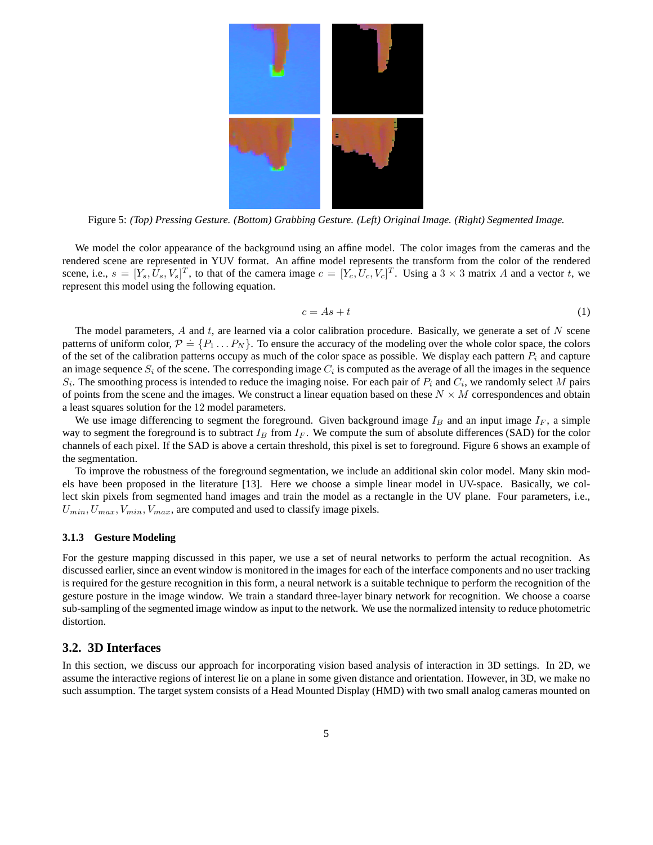

Figure 5: *(Top) Pressing Gesture. (Bottom) Grabbing Gesture. (Left) Original Image. (Right) Segmented Image.*

We model the color appearance of the background using an affine model. The color images from the cameras and the rendered scene are represented in YUV format. An affine model represents the transform from the color of the rendered scene, i.e.,  $s = [Y_s, \hat{U}_s, V_s]^T$ , to that of the camera image  $c = [Y_c, \hat{U}_c, V_c]^T$ . Using a  $3 \times 3$  matrix A and a vector t, we represent this model using the following equation.

$$
c = As + t \tag{1}
$$

The model parameters,  $A$  and  $t$ , are learned via a color calibration procedure. Basically, we generate a set of  $N$  scene patterns of uniform color,  $P = \{P_1 \dots P_N\}$ . To ensure the accuracy of the modeling over the whole color space, the colors of the set of the calibration patterns occupy as much of the color space as possible. We display each pattern  $P_i$  and capture an image sequence  $S_i$  of the scene. The corresponding image  $C_i$  is computed as the average of all the images in the sequence  $S_i$ . The smoothing process is intended to reduce the imaging noise. For each pair of  $P_i$  and  $C_i$ , we randomly select M pairs of points from the scene and the images. We construct a linear equation based on these  $N \times M$  correspondences and obtain a least squares solution for the 12 model parameters.

We use image differencing to segment the foreground. Given background image  $I_B$  and an input image  $I_F$ , a simple way to segment the foreground is to subtract  $I_B$  from  $I_F$ . We compute the sum of absolute differences (SAD) for the color channels of each pixel. If the SAD is above a certain threshold, this pixel is set to foreground. Figure 6 shows an example of the segmentation.

To improve the robustness of the foreground segmentation, we include an additional skin color model. Many skin models have been proposed in the literature [13]. Here we choose a simple linear model in UV-space. Basically, we collect skin pixels from segmented hand images and train the model as a rectangle in the UV plane. Four parameters, i.e.,  $U_{min}, U_{max}, V_{min}, V_{max}$ , are computed and used to classify image pixels.

#### **3.1.3 Gesture Modeling**

For the gesture mapping discussed in this paper, we use a set of neural networks to perform the actual recognition. As discussed earlier, since an event window is monitored in the images for each of the interface components and no user tracking is required for the gesture recognition in this form, a neural network is a suitable technique to perform the recognition of the gesture posture in the image window. We train a standard three-layer binary network for recognition. We choose a coarse sub-sampling of the segmented image window as input to the network. We use the normalized intensity to reduce photometric distortion.

#### **3.2. 3D Interfaces**

In this section, we discuss our approach for incorporating vision based analysis of interaction in 3D settings. In 2D, we assume the interactive regions of interest lie on a plane in some given distance and orientation. However, in 3D, we make no such assumption. The target system consists of a Head Mounted Display (HMD) with two small analog cameras mounted on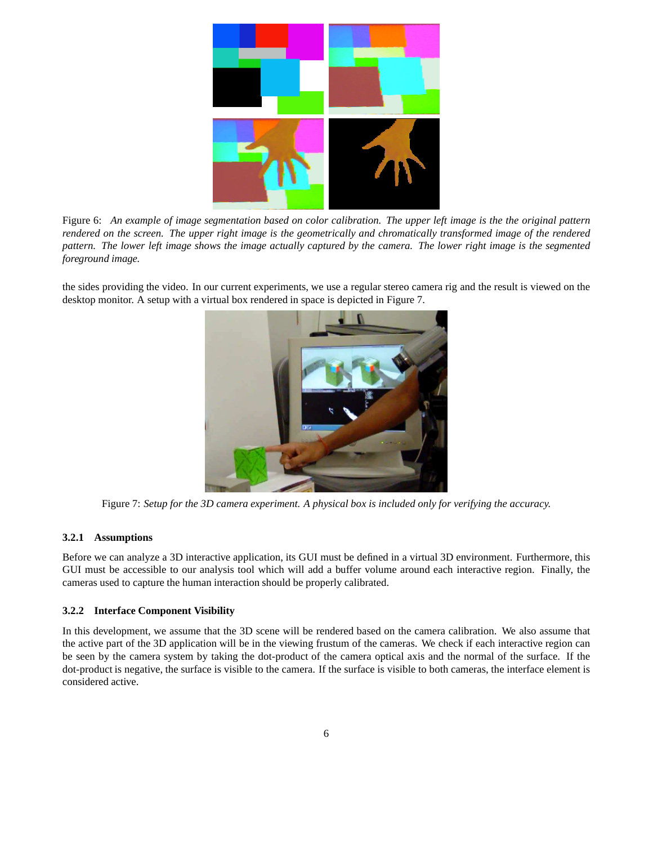

Figure 6: *An example of image segmentation based on color calibration. The upper left image is the the original pattern rendered on the screen. The upper right image is the geometrically and chromatically transformed image of the rendered pattern. The lower left image shows the image actually captured by the camera. The lower right image is the segmented foreground image.*

the sides providing the video. In our current experiments, we use a regular stereo camera rig and the result is viewed on the desktop monitor. A setup with a virtual box rendered in space is depicted in Figure 7.



Figure 7: *Setup for the 3D camera experiment. A physical box is included only for verifying the accuracy.*

#### **3.2.1 Assumptions**

Before we can analyze a 3D interactive application, its GUI must be defined in a virtual 3D environment. Furthermore, this GUI must be accessible to our analysis tool which will add a buffer volume around each interactive region. Finally, the cameras used to capture the human interaction should be properly calibrated.

#### **3.2.2 Interface Component Visibility**

In this development, we assume that the 3D scene will be rendered based on the camera calibration. We also assume that the active part of the 3D application will be in the viewing frustum of the cameras. We check if each interactive region can be seen by the camera system by taking the dot-product of the camera optical axis and the normal of the surface. If the dot-product is negative, the surface is visible to the camera. If the surface is visible to both cameras, the interface element is considered active.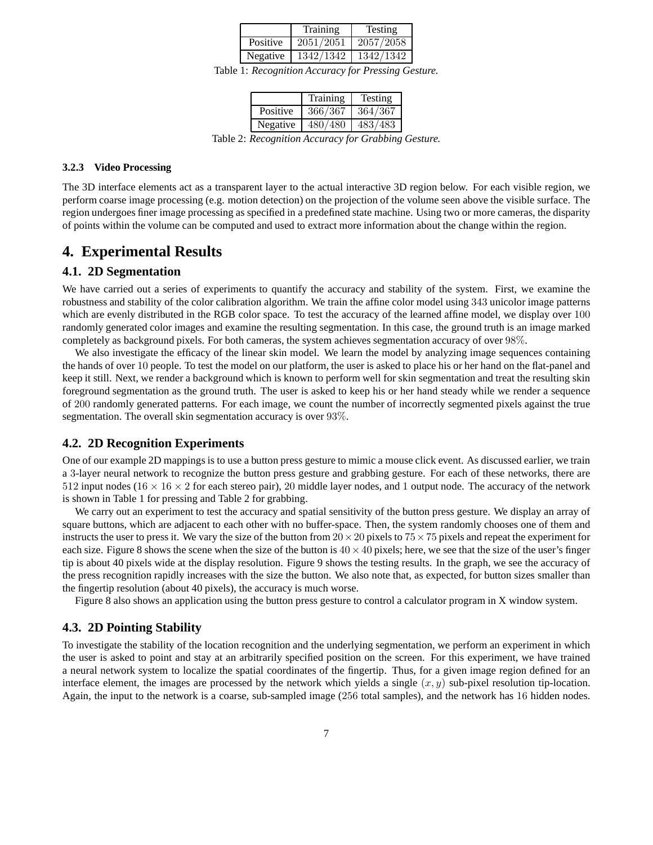|          | Training  | Testing   |
|----------|-----------|-----------|
| Positive | 2051/2051 | 2057/2058 |
| Negative | 1342/1342 | 1342/1342 |

Table 1: *Recognition Accuracy for Pressing Gesture.*

|          | Training | Testing |
|----------|----------|---------|
| Positive | 366/367  | 364/367 |
| Negative | 480/480  | 483/483 |

Table 2: *Recognition Accuracy for Grabbing Gesture.*

#### **3.2.3 Video Processing**

The 3D interface elements act as a transparent layer to the actual interactive 3D region below. For each visible region, we perform coarse image processing (e.g. motion detection) on the projection of the volume seen above the visible surface. The region undergoes finer image processing as specified in a predefined state machine. Using two or more cameras, the disparity of points within the volume can be computed and used to extract more information about the change within the region.

## **4. Experimental Results**

#### **4.1. 2D Segmentation**

We have carried out a series of experiments to quantify the accuracy and stability of the system. First, we examine the robustness and stability of the color calibration algorithm. We train the affine color model using 343 unicolor image patterns which are evenly distributed in the RGB color space. To test the accuracy of the learned affine model, we display over 100 randomly generated color images and examine the resulting segmentation. In this case, the ground truth is an image marked completely as background pixels. For both cameras, the system achieves segmentation accuracy of over 98%.

We also investigate the efficacy of the linear skin model. We learn the model by analyzing image sequences containing the hands of over 10 people. To test the model on our platform, the user is asked to place his or her hand on the flat-panel and keep it still. Next, we render a background which is known to perform well for skin segmentation and treat the resulting skin foreground segmentation as the ground truth. The user is asked to keep his or her hand steady while we render a sequence of 200 randomly generated patterns. For each image, we count the number of incorrectly segmented pixels against the true segmentation. The overall skin segmentation accuracy is over 93%.

#### **4.2. 2D Recognition Experiments**

One of our example 2D mappings is to use a button press gesture to mimic a mouse click event. As discussed earlier, we train a 3-layer neural network to recognize the button press gesture and grabbing gesture. For each of these networks, there are 512 input nodes ( $16 \times 16 \times 2$  for each stereo pair), 20 middle layer nodes, and 1 output node. The accuracy of the network is shown in Table 1 for pressing and Table 2 for grabbing.

We carry out an experiment to test the accuracy and spatial sensitivity of the button press gesture. We display an array of square buttons, which are adjacent to each other with no buffer-space. Then, the system randomly chooses one of them and instructs the user to press it. We vary the size of the button from  $20 \times 20$  pixels to  $75 \times 75$  pixels and repeat the experiment for each size. Figure 8 shows the scene when the size of the button is  $40 \times 40$  pixels; here, we see that the size of the user's finger tip is about 40 pixels wide at the display resolution. Figure 9 shows the testing results. In the graph, we see the accuracy of the press recognition rapidly increases with the size the button. We also note that, as expected, for button sizes smaller than the fingertip resolution (about 40 pixels), the accuracy is much worse.

Figure 8 also shows an application using the button press gesture to control a calculator program in X window system.

#### **4.3. 2D Pointing Stability**

To investigate the stability of the location recognition and the underlying segmentation, we perform an experiment in which the user is asked to point and stay at an arbitrarily specified position on the screen. For this experiment, we have trained a neural network system to localize the spatial coordinates of the fingertip. Thus, for a given image region defined for an interface element, the images are processed by the network which yields a single  $(x, y)$  sub-pixel resolution tip-location. Again, the input to the network is a coarse, sub-sampled image (256 total samples), and the network has 16 hidden nodes.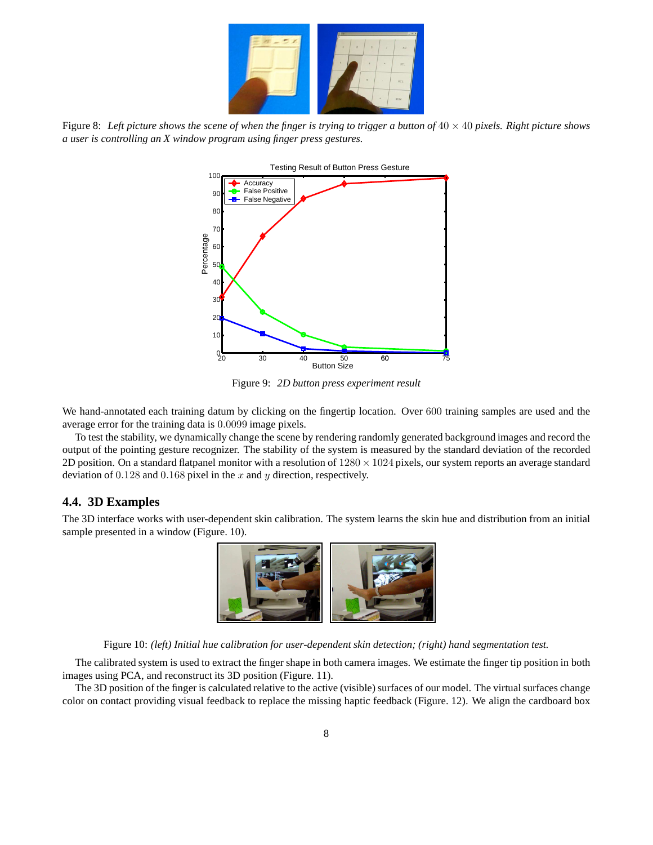

Figure 8: Left picture shows the scene of when the finger is trying to trigger a button of  $40 \times 40$  pixels. Right picture shows *a user is controlling an X window program using finger press gestures.*



Figure 9: *2D button press experiment result*

We hand-annotated each training datum by clicking on the fingertip location. Over 600 training samples are used and the average error for the training data is 0.0099 image pixels.

To test the stability, we dynamically change the scene by rendering randomly generated background images and record the output of the pointing gesture recognizer. The stability of the system is measured by the standard deviation of the recorded 2D position. On a standard flatpanel monitor with a resolution of  $1280 \times 1024$  pixels, our system reports an average standard deviation of  $0.128$  and  $0.168$  pixel in the x and y direction, respectively.

#### **4.4. 3D Examples**

The 3D interface works with user-dependent skin calibration. The system learns the skin hue and distribution from an initial sample presented in a window (Figure. 10).



Figure 10: *(left) Initial hue calibration for user-dependent skin detection; (right) hand segmentation test.*

The calibrated system is used to extract the finger shape in both camera images. We estimate the finger tip position in both images using PCA, and reconstruct its 3D position (Figure. 11).

The 3D position of the finger is calculated relative to the active (visible) surfaces of our model. The virtual surfaces change color on contact providing visual feedback to replace the missing haptic feedback (Figure. 12). We align the cardboard box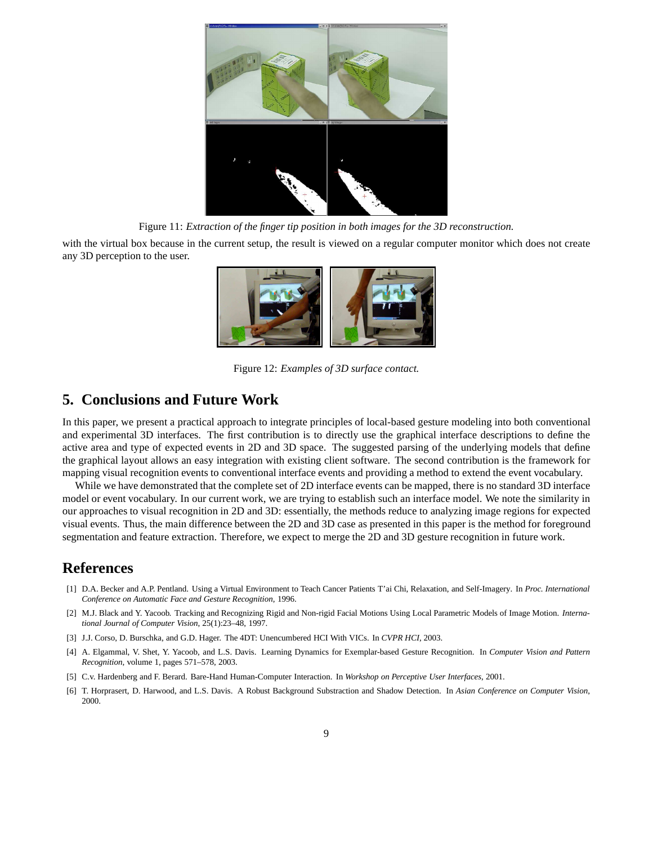

Figure 11: *Extraction of the finger tip position in both images for the 3D reconstruction.*

with the virtual box because in the current setup, the result is viewed on a regular computer monitor which does not create any 3D perception to the user.



Figure 12: *Examples of 3D surface contact.*

## **5. Conclusions and Future Work**

In this paper, we present a practical approach to integrate principles of local-based gesture modeling into both conventional and experimental 3D interfaces. The first contribution is to directly use the graphical interface descriptions to define the active area and type of expected events in 2D and 3D space. The suggested parsing of the underlying models that define the graphical layout allows an easy integration with existing client software. The second contribution is the framework for mapping visual recognition events to conventional interface events and providing a method to extend the event vocabulary.

While we have demonstrated that the complete set of 2D interface events can be mapped, there is no standard 3D interface model or event vocabulary. In our current work, we are trying to establish such an interface model. We note the similarity in our approaches to visual recognition in 2D and 3D: essentially, the methods reduce to analyzing image regions for expected visual events. Thus, the main difference between the 2D and 3D case as presented in this paper is the method for foreground segmentation and feature extraction. Therefore, we expect to merge the 2D and 3D gesture recognition in future work.

## **References**

- [1] D.A. Becker and A.P. Pentland. Using a Virtual Environment to Teach Cancer Patients T'ai Chi, Relaxation, and Self-Imagery. In *Proc. International Conference on Automatic Face and Gesture Recognition*, 1996.
- [2] M.J. Black and Y. Yacoob. Tracking and Recognizing Rigid and Non-rigid Facial Motions Using Local Parametric Models of Image Motion. *International Journal of Computer Vision*, 25(1):23–48, 1997.
- [3] J.J. Corso, D. Burschka, and G.D. Hager. The 4DT: Unencumbered HCI With VICs. In *CVPR HCI*, 2003.
- [4] A. Elgammal, V. Shet, Y. Yacoob, and L.S. Davis. Learning Dynamics for Exemplar-based Gesture Recognition. In *Computer Vision and Pattern Recognition*, volume 1, pages 571–578, 2003.
- [5] C.v. Hardenberg and F. Berard. Bare-Hand Human-Computer Interaction. In *Workshop on Perceptive User Interfaces*, 2001.
- [6] T. Horprasert, D. Harwood, and L.S. Davis. A Robust Background Substraction and Shadow Detection. In *Asian Conference on Computer Vision*, 2000.